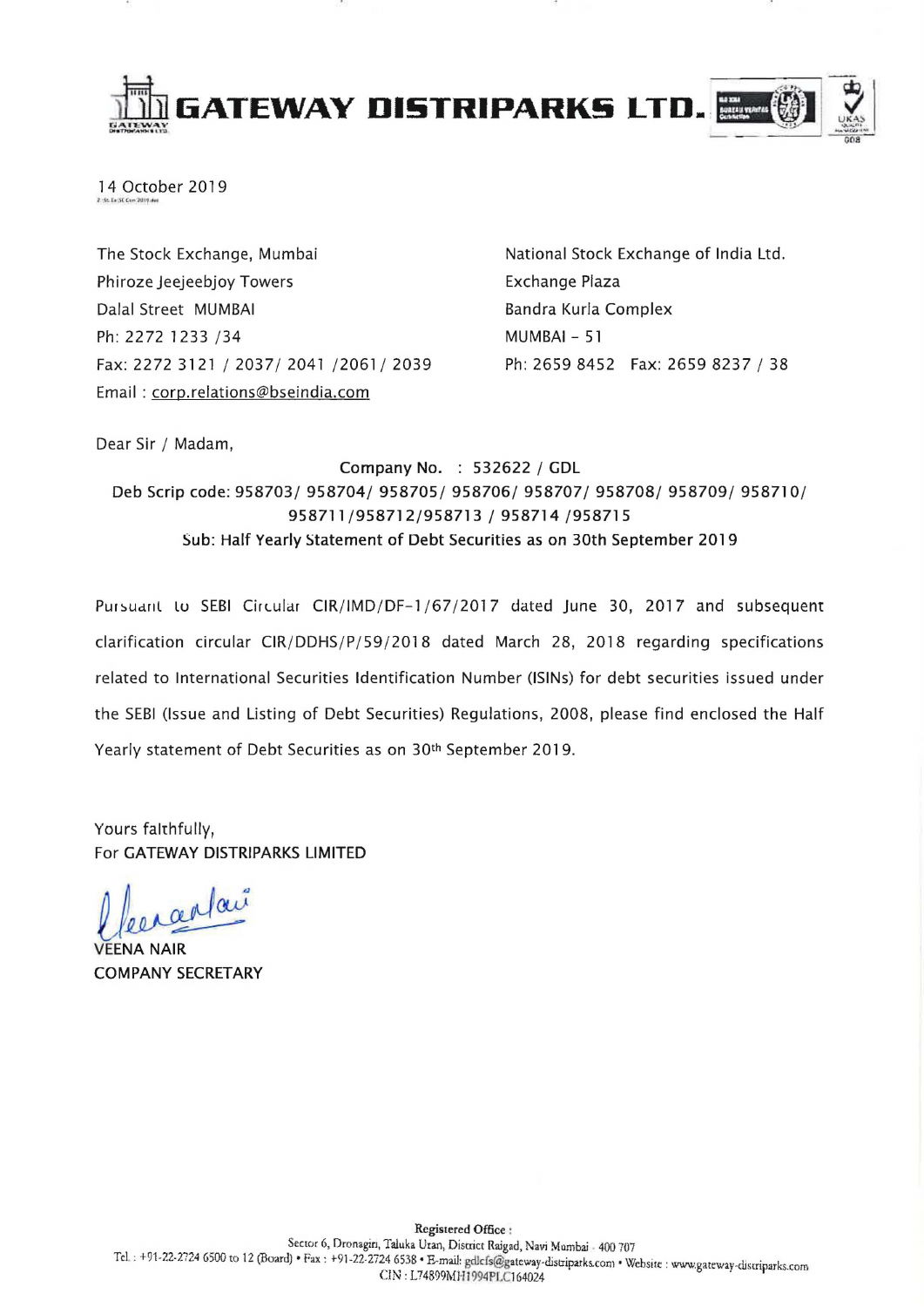

14 October 2019

The Stock Exchange, Mumbai Phiroze Jeejeebjoy Towers Dalal Street MUMBAI Ph: 2272 1233 / 34 Fax: 2272 3121/2037/2041/2061/2039 Email: corp.relations@bseindia.com

National Stock Exchange of India Ltd. Exchange Plaza Bandra Kurla Complex MUMBAI - 51 Ph: 2659 8452 Fax: 2659 8237 / 38

Dear Sir / Madam,

Company No. : 532622 / GDL Deb Scrip code: 958703/ 958704/ 958705/ 958706/ 958707/ 958708/ 958709/ 958710/ 958711/958712/958713 / 958714 /958715 Sub: Half Yearly Statement of Debt Securities as on 30th September 2019

Pursuant to SEBI Circular CIR/IMD/DF-1/67/2017 dated June 30, 2017 and subsequent clarification circular CIR/DDHS/P/59/2018 dated March 28, 2018 regarding specifications related to International Securities Identification Number (lSINs) for debt securities issued under the SEBI (Issue and Listing of Debt Securities) Regulations, 2008, please find enclosed the Half Yearly statement of Debt Securities as on 30th September 2019.

Yours faithfully, For GATEWAY DISTRIPARKS LIMITED

arlai

**VEENA NAIR** COMPANY SECRETARY